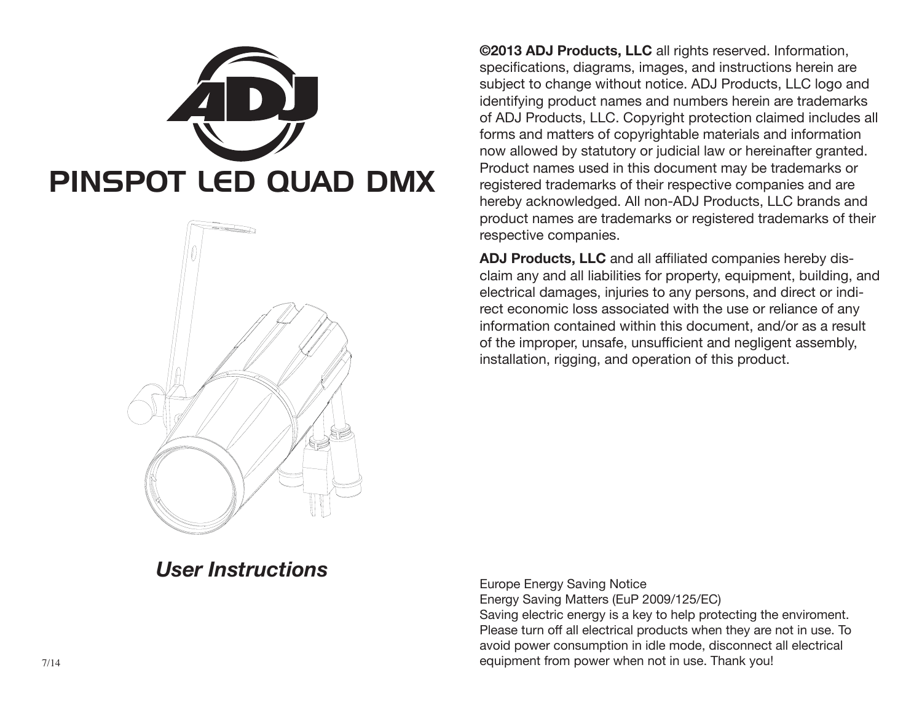



**©2013 ADJ Products, LLC** all rights reserved. Information, specifications, diagrams, images, and instructions herein are subject to change without notice. ADJ Products, LLC logo and identifying product names and numbers herein are trademarks of ADJ Products, LLC. Copyright protection claimed includes all forms and matters of copyrightable materials and information now allowed by statutory or judicial law or hereinafter granted. Product names used in this document may be trademarks or registered trademarks of their respective companies and are hereby acknowledged. All non-ADJ Products, LLC brands and product names are trademarks or registered trademarks of their respective companies.

**ADJ Products, LLC** and all affiliated companies hereby disclaim any and all liabilities for property, equipment, building, and electrical damages, injuries to any persons, and direct or indirect economic loss associated with the use or reliance of any information contained within this document, and/or as a result of the improper, unsafe, unsufficient and negligent assembly, installation, rigging, and operation of this product.

# *User Instructions*

Europe Energy Saving Notice Energy Saving Matters (EuP 2009/125/EC) Saving electric energy is a key to help protecting the enviroment. Please turn off all electrical products when they are not in use. To avoid power consumption in idle mode, disconnect all electrical equipment from power when not in use. Thank you!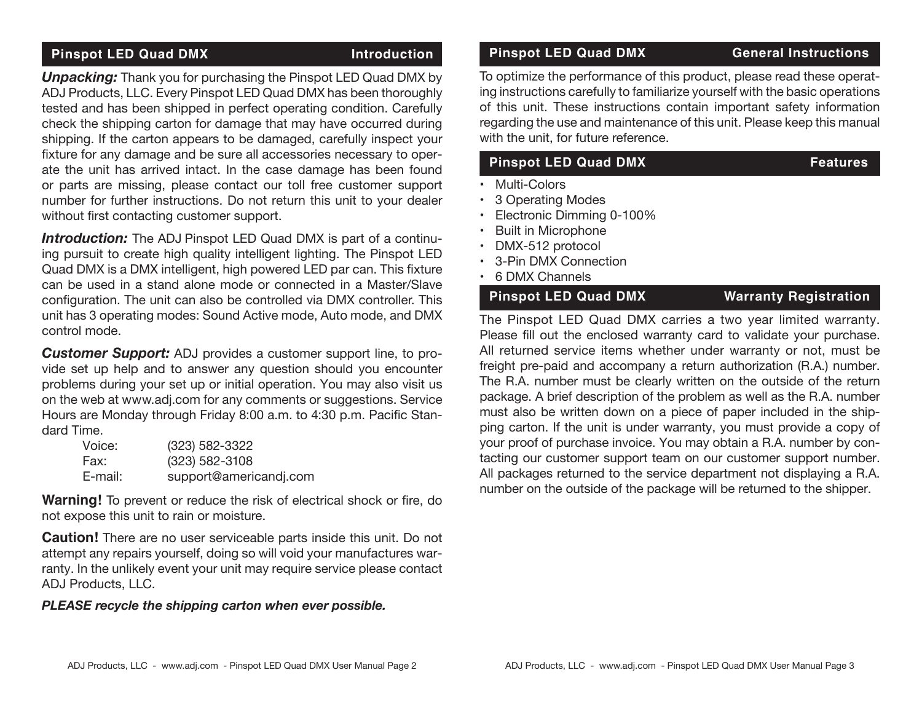## **Pinspot LED Quad DMX Introduction**

*Unpacking:* Thank you for purchasing the Pinspot LED Quad DMX by ADJ Products, LLC. Every Pinspot LED Quad DMX has been thoroughly tested and has been shipped in perfect operating condition. Carefully check the shipping carton for damage that may have occurred during shipping. If the carton appears to be damaged, carefully inspect your fixture for any damage and be sure all accessories necessary to operate the unit has arrived intact. In the case damage has been found or parts are missing, please contact our toll free customer support number for further instructions. Do not return this unit to your dealer without first contacting customer support.

*Introduction:* The ADJ Pinspot LED Quad DMX is part of a continuing pursuit to create high quality intelligent lighting. The Pinspot LED Quad DMX is a DMX intelligent, high powered LED par can. This fixture can be used in a stand alone mode or connected in a Master/Slave configuration. The unit can also be controlled via DMX controller. This unit has 3 operating modes: Sound Active mode, Auto mode, and DMX control mode.

*Customer Support:* ADJ provides a customer support line, to provide set up help and to answer any question should you encounter problems during your set up or initial operation. You may also visit us on the web at www.adj.com for any comments or suggestions. Service Hours are Monday through Friday 8:00 a.m. to 4:30 p.m. Pacific Standard Time.

| Voice:  | (323) 582-3322         |
|---------|------------------------|
| Fax:    | $(323)$ 582-3108       |
| E-mail: | support@americandj.com |

**Warning!** To prevent or reduce the risk of electrical shock or fire, do not expose this unit to rain or moisture.

**Caution!** There are no user serviceable parts inside this unit. Do not attempt any repairs yourself, doing so will void your manufactures warranty. In the unlikely event your unit may require service please contact ADJ Products, LLC.

#### *PLEASE recycle the shipping carton when ever possible.*

#### **Pinspot LED Quad DMX General Instructions**

To optimize the performance of this product, please read these operating instructions carefully to familiarize yourself with the basic operations of this unit. These instructions contain important safety information regarding the use and maintenance of this unit. Please keep this manual with the unit, for future reference.

## **Pinspot LED Quad DMX** Features

- Multi-Colors
- 3 Operating Modes
- Electronic Dimming 0-100%
- Built in Microphone
- DMX-512 protocol
- 3-Pin DMX Connection
- 6 DMX Channels

### **Pinspot LED Quad DMX Warranty Registration**

The Pinspot LED Quad DMX carries a two year limited warranty. Please fill out the enclosed warranty card to validate your purchase. All returned service items whether under warranty or not, must be freight pre-paid and accompany a return authorization (R.A.) number. The R.A. number must be clearly written on the outside of the return package. A brief description of the problem as well as the R.A. number must also be written down on a piece of paper included in the shipping carton. If the unit is under warranty, you must provide a copy of your proof of purchase invoice. You may obtain a R.A. number by contacting our customer support team on our customer support number. All packages returned to the service department not displaying a R.A. number on the outside of the package will be returned to the shipper.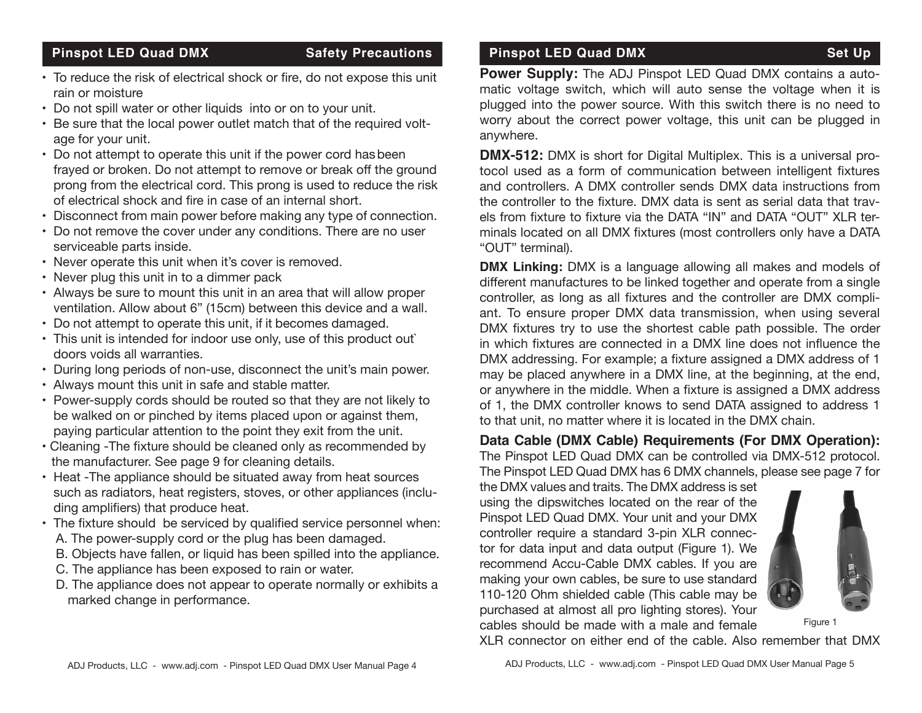### **Pinspot LED Quad DMX** Safety Precautions

- To reduce the risk of electrical shock or fire, do not expose this unit rain or moisture
- Do not spill water or other liquids into or on to your unit.
- Be sure that the local power outlet match that of the required voltage for your unit.
- Do not attempt to operate this unit if the power cord hasbeen frayed or broken. Do not attempt to remove or break off the ground prong from the electrical cord. This prong is used to reduce the risk of electrical shock and fire in case of an internal short.
- Disconnect from main power before making any type of connection.
- Do not remove the cover under any conditions. There are no user serviceable parts inside.
- Never operate this unit when it's cover is removed.
- Never plug this unit in to a dimmer pack
- Always be sure to mount this unit in an area that will allow proper ventilation. Allow about 6" (15cm) between this device and a wall.
- Do not attempt to operate this unit, if it becomes damaged.
- This unit is intended for indoor use only, use of this product out` doors voids all warranties.
- During long periods of non-use, disconnect the unit's main power.
- Always mount this unit in safe and stable matter.
- Power-supply cords should be routed so that they are not likely to be walked on or pinched by items placed upon or against them, paying particular attention to the point they exit from the unit.
- Cleaning -The fixture should be cleaned only as recommended by the manufacturer. See page 9 for cleaning details.
- Heat -The appliance should be situated away from heat sources such as radiators, heat registers, stoves, or other appliances (including amplifiers) that produce heat.
- The fixture should be serviced by qualified service personnel when: A. The power-supply cord or the plug has been damaged.
	- B. Objects have fallen, or liquid has been spilled into the appliance.
	- C. The appliance has been exposed to rain or water.
	- D. The appliance does not appear to operate normally or exhibits a marked change in performance.

## **Pinspot LED Quad DMX** Set Up

**Power Supply:** The ADJ Pinspot LED Quad DMX contains a automatic voltage switch, which will auto sense the voltage when it is plugged into the power source. With this switch there is no need to worry about the correct power voltage, this unit can be plugged in anywhere.

**DMX-512:** DMX is short for Digital Multiplex. This is a universal protocol used as a form of communication between intelligent fixtures and controllers. A DMX controller sends DMX data instructions from the controller to the fixture. DMX data is sent as serial data that travels from fixture to fixture via the DATA "IN" and DATA "OUT" XLR terminals located on all DMX fixtures (most controllers only have a DATA "OUT" terminal).

**DMX Linking:** DMX is a language allowing all makes and models of different manufactures to be linked together and operate from a single controller, as long as all fixtures and the controller are DMX compliant. To ensure proper DMX data transmission, when using several DMX fixtures try to use the shortest cable path possible. The order in which fixtures are connected in a DMX line does not influence the DMX addressing. For example; a fixture assigned a DMX address of 1 may be placed anywhere in a DMX line, at the beginning, at the end, or anywhere in the middle. When a fixture is assigned a DMX address of 1, the DMX controller knows to send DATA assigned to address 1 to that unit, no matter where it is located in the DMX chain.

**Data Cable (DMX Cable) Requirements (For DMX Operation):** The Pinspot LED Quad DMX can be controlled via DMX-512 protocol. The Pinspot LED Quad DMX has 6 DMX channels, please see page 7 for

the DMX values and traits. The DMX address is set using the dipswitches located on the rear of the Pinspot LED Quad DMX. Your unit and your DMX controller require a standard 3-pin XLR connector for data input and data output (Figure 1). We recommend Accu-Cable DMX cables. If you are making your own cables, be sure to use standard 110-120 Ohm shielded cable (This cable may be purchased at almost all pro lighting stores). Your cables should be made with a male and female



Figure 1

XLR connector on either end of the cable. Also remember that DMX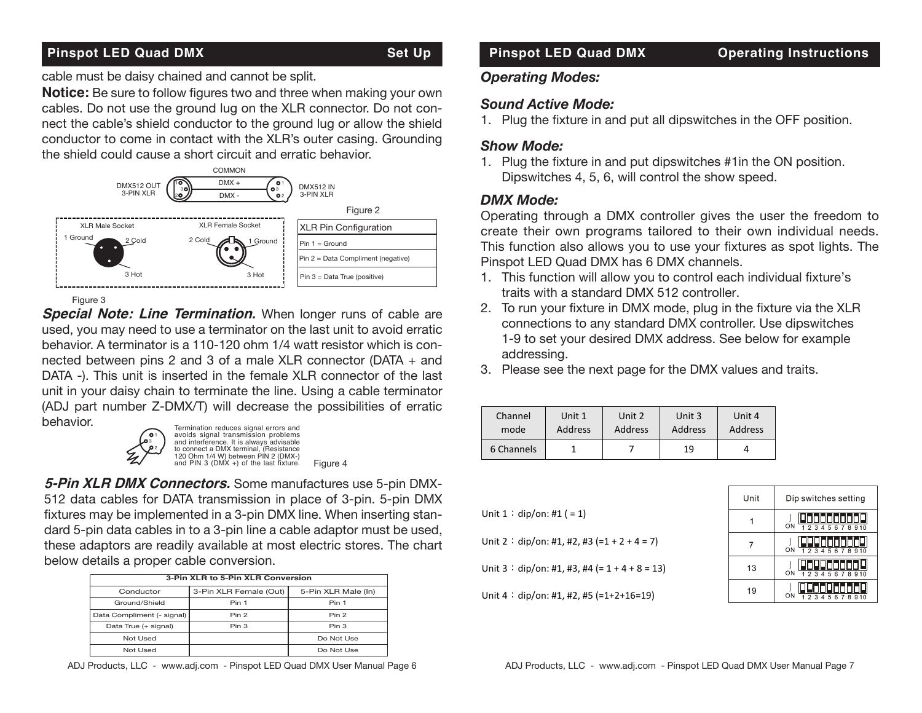### **Pinspot LED Quad DMX** Set Up

#### **Set Up**

cable must be daisy chained and cannot be split.

Notice: Be sure to follow figures two and three when making your own cables. Do not use the ground lug on the XLR connector. Do not connect the cable's shield conductor to the ground lug or allow the shield conductor to come in contact with the XLR's outer casing. Grounding the shield could cause a short circuit and erratic behavior.



Figure 3

**Special Note: Line Termination.** When longer runs of cable are used, you may need to use a terminator on the last unit to avoid erratic behavior. A terminator is a 110-120 ohm 1/4 watt resistor which is connected between pins 2 and 3 of a male XLR connector (DATA + and DATA -). This unit is inserted in the female XLR connector of the last unit in your daisy chain to terminate the line. Using a cable terminator (ADJ part number Z-DMX/T) will decrease the possibilities of erratic behavior.



Termination reduces signal errors and avoids signal transmission problems and interference. It is always advisable to connect a DMX terminal, (Resistance 120 Ohm 1/4 W) between PIN 2 (DMX-) and PIN 3 (DMX +) of the last fixture. Figure 4

**5-Pin XLR DMX Connectors.** Some manufactures use 5-pin DMX-512 data cables for DATA transmission in place of 3-pin. 5-pin DMX fixtures may be implemented in a 3-pin DMX line. When inserting standard 5-pin data cables in to a 3-pin line a cable adaptor must be used, these adaptors are readily available at most electric stores. The chart below details a proper cable conversion.

| 3-Pin XLR to 5-Pin XLR Conversion |                        |                     |  |  |
|-----------------------------------|------------------------|---------------------|--|--|
| Conductor                         | 3-Pin XLR Female (Out) | 5-Pin XLR Male (In) |  |  |
| Ground/Shield                     | Pin 1                  | Pin 1               |  |  |
| Data Compliment (- signal)        | Pin 2                  | Pin 2               |  |  |
| Data True (+ signal)              | Pin 3                  | Pin 3               |  |  |
| Not Used                          |                        | Do Not Use          |  |  |
| Not Used                          |                        | Do Not Use          |  |  |

ADJ Products, LLC - www.adj.com - Pinspot LED Quad DMX User Manual Page 6

## *Operating Modes:*

### *Sound Active Mode:*

1. Plug the fixture in and put all dipswitches in the OFF position.

**Pinspot LED Quad DMX** Operating Instructions

## *Show Mode:*

1. Plug the fixture in and put dipswitches #1in the ON position. Dipswitches 4, 5, 6, will control the show speed.

## DMX Mode:

perating through a DMX controller gives the user the freedom to create their own programs tailored to their own individual needs. This function also allows you to use your fixtures as spot lights. The This farfolion also allows you to use your likeling as spot lights Pinspot LED Quad DMX has 6 DMX channels.

- 1. This function will allow you to control each individual fixture's traits with a standard DMX 512 controller.
- 2. To run your fixture in DMX mode, plug in the fixture via the XLR connections to any standard DMX controller. Use dipswitches 1-9 to set your desired DMX address. See below for example addressing.
- 3. Please see the next page for the DMX values and traits.

| Channel    | Unit 1  | Unit 2  | Unit 3  | Unit 4  |
|------------|---------|---------|---------|---------|
| mode       | Address | Address | Address | Address |
| 6 Channels |         |         | 19      |         |

Unit 2 : dip/on: #1, #2, #3 (=1 + 2 + 4 = 7)

Unit  $3:$  dip/on: #1, #3, #4 (=  $1 + 4 + 8 = 13$ )

Unit  $4:$  dip/on: #1, #2, #5 (=1+2+16=19)



Unit  $1:$  dip/on: #1 ( = 1)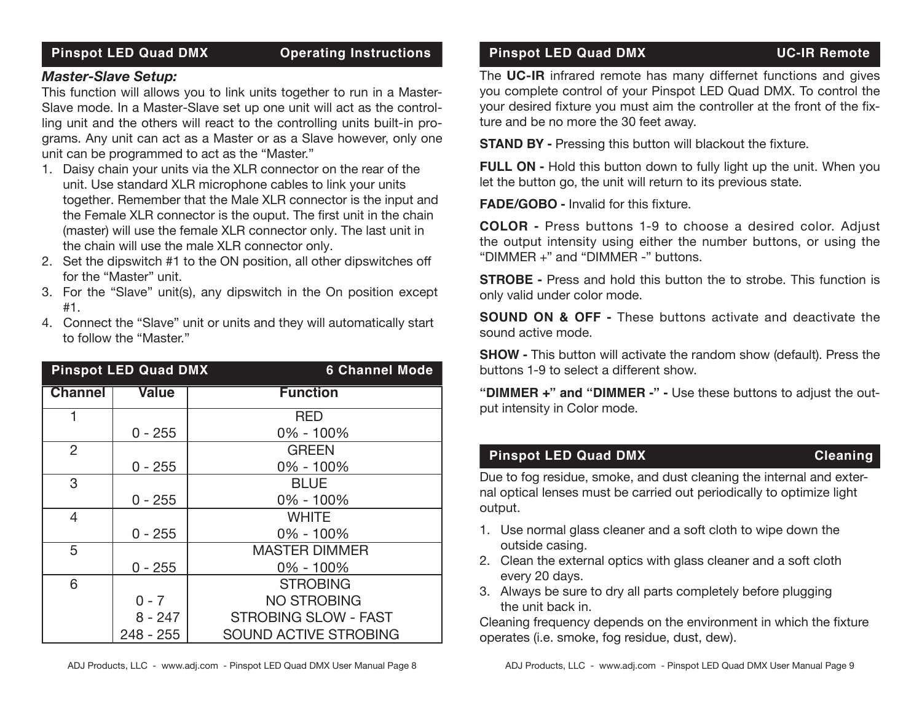### **Pinspot LED Quad DMX Operating Instructions**

### *Master-Slave Setup:*

This function will allows you to link units together to run in a Master-Slave mode. In a Master-Slave set up one unit will act as the controlling unit and the others will react to the controlling units built-in programs. Any unit can act as a Master or as a Slave however, only one unit can be programmed to act as the "Master."

- 1. Daisy chain your units via the XLR connector on the rear of the unit. Use standard XLR microphone cables to link your units together. Remember that the Male XLR connector is the input and the Female XLR connector is the ouput. The first unit in the chain (master) will use the female XLR connector only. The last unit in the chain will use the male XLR connector only.
- 2. Set the dipswitch #1 to the ON position, all other dipswitches off for the "Master" unit.
- 3. For the "Slave" unit(s), any dipswitch in the On position except #1.
- 4. Connect the "Slave" unit or units and they will automatically start to follow the "Master."

| <b>Pinspot LED Quad DMX</b> |              | <b>6 Channel Mode</b>        |
|-----------------------------|--------------|------------------------------|
| <b>Channel</b>              | <b>Value</b> | <b>Function</b>              |
| 1                           |              | <b>RED</b>                   |
|                             | $0 - 255$    | $0\% - 100\%$                |
| $\overline{2}$              |              | <b>GREEN</b>                 |
|                             | $0 - 255$    | $0\% - 100\%$                |
| 3                           |              | <b>BLUE</b>                  |
|                             | $0 - 255$    | 0% - 100%                    |
| 4                           |              | <b>WHITE</b>                 |
|                             | $0 - 255$    | $0\% - 100\%$                |
| 5                           |              | <b>MASTER DIMMER</b>         |
|                             | $0 - 255$    | 0% - 100%                    |
| 6                           |              | <b>STROBING</b>              |
|                             | $0 - 7$      | <b>NO STROBING</b>           |
|                             | 8 - 247      | <b>STROBING SLOW - FAST</b>  |
|                             | $248 - 255$  | <b>SOUND ACTIVE STROBING</b> |

#### **Pinspot LED Quad DMX** UC-IR Remote

The **UC-IR** infrared remote has many differnet functions and gives you complete control of your Pinspot LED Quad DMX. To control the your desired fixture you must aim the controller at the front of the fixture and be no more the 30 feet away.

**STAND BY -** Pressing this button will blackout the fixture.

**FULL ON -** Hold this button down to fully light up the unit. When you let the button go, the unit will return to its previous state.

**FADE/GOBO -** Invalid for this fixture.

**COLOR -** Press buttons 1-9 to choose a desired color. Adjust the output intensity using either the number buttons, or using the "DIMMER +" and "DIMMER -" buttons.

**STROBE -** Press and hold this button the to strobe. This function is only valid under color mode.

**SOUND ON & OFF -** These buttons activate and deactivate the sound active mode.

**SHOW -** This button will activate the random show (default). Press the buttons 1-9 to select a different show.

**"DIMMER +" and "DIMMER -" -** Use these buttons to adjust the output intensity in Color mode.

### **Pinspot LED Quad DMX** Cleaning

Due to fog residue, smoke, and dust cleaning the internal and external optical lenses must be carried out periodically to optimize light output.

- 1. Use normal glass cleaner and a soft cloth to wipe down the outside casing.
- 2. Clean the external optics with glass cleaner and a soft cloth every 20 days.
- 3. Always be sure to dry all parts completely before plugging the unit back in.

Cleaning frequency depends on the environment in which the fixture operates (i.e. smoke, fog residue, dust, dew).